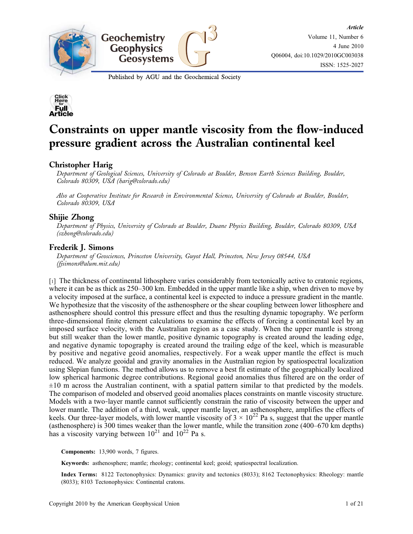

Published by AGU and the Geochemical Society



# Constraints on upper mantle viscosity from the flow‐induced pressure gradient across the Australian continental keel

# Christopher Harig

Department of Geological Sciences, University of Colorado at Boulder, Benson Earth Sciences Building, Boulder, Colorado 80309, USA (harig@colorado.edu)

Also at Cooperative Institute for Research in Environmental Science, University of Colorado at Boulder, Boulder, Colorado 80309, USA

# Shijie Zhong

Department of Physics, University of Colorado at Boulder, Duane Physics Building, Boulder, Colorado 80309, USA (szhong@colorado.edu)

## Frederik J. Simons

Department of Geosciences, Princeton University, Guyot Hall, Princeton, New Jersey 08544, USA (fjsimons@alum.mit.edu)

[1] The thickness of continental lithosphere varies considerably from tectonically active to cratonic regions, where it can be as thick as  $250-300$  km. Embedded in the upper mantle like a ship, when driven to move by a velocity imposed at the surface, a continental keel is expected to induce a pressure gradient in the mantle. We hypothesize that the viscosity of the asthenosphere or the shear coupling between lower lithosphere and asthenosphere should control this pressure effect and thus the resulting dynamic topography. We perform three‐dimensional finite element calculations to examine the effects of forcing a continental keel by an imposed surface velocity, with the Australian region as a case study. When the upper mantle is strong but still weaker than the lower mantle, positive dynamic topography is created around the leading edge, and negative dynamic topography is created around the trailing edge of the keel, which is measurable by positive and negative geoid anomalies, respectively. For a weak upper mantle the effect is much reduced. We analyze geoidal and gravity anomalies in the Australian region by spatiospectral localization using Slepian functions. The method allows us to remove a best fit estimate of the geographically localized low spherical harmonic degree contributions. Regional geoid anomalies thus filtered are on the order of  $\pm 10$  m across the Australian continent, with a spatial pattern similar to that predicted by the models. The comparison of modeled and observed geoid anomalies places constraints on mantle viscosity structure. Models with a two-layer mantle cannot sufficiently constrain the ratio of viscosity between the upper and lower mantle. The addition of a third, weak, upper mantle layer, an asthenosphere, amplifies the effects of keels. Our three-layer models, with lower mantle viscosity of  $3 \times 10^{22}$  Pa s, suggest that the upper mantle (asthenosphere) is 300 times weaker than the lower mantle, while the transition zone (400–670 km depths) has a viscosity varying between  $10^{21}$  and  $10^{22}$  Pa s.

Components: 13,900 words, 7 figures.

Keywords: asthenosphere; mantle; rheology; continental keel; geoid; spatiospectral localization.

Index Terms: 8122 Tectonophysics: Dynamics: gravity and tectonics (8033); 8162 Tectonophysics: Rheology: mantle (8033); 8103 Tectonophysics: Continental cratons.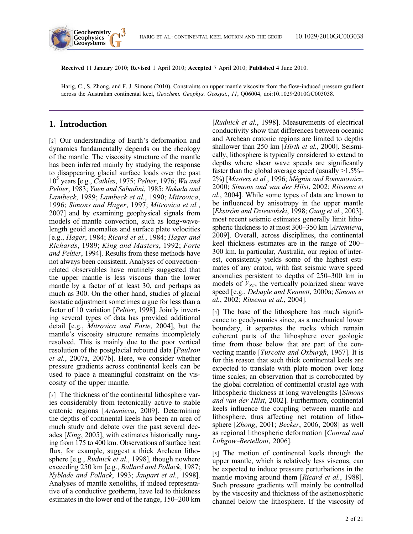

Received 11 January 2010; Revised 1 April 2010; Accepted 7 April 2010; Published 4 June 2010.

Harig, C., S. Zhong, and F. J. Simons (2010), Constraints on upper mantle viscosity from the flow-induced pressure gradient across the Australian continental keel, Geochem. Geophys. Geosyst., 11, Q06004, doi:10.1029/2010GC003038.

# 1. Introduction

[2] Our understanding of Earth's deformation and dynamics fundamentally depends on the rheology of the mantle. The viscosity structure of the mantle has been inferred mainly by studying the response to disappearing glacial surface loads over the past  $10<sup>5</sup>$  years [e.g., *Cathles*, 1975; *Peltier*, 1976; *Wu and* Peltier, 1983; Yuen and Sabadini, 1985; Nakada and Lambeck, 1989; Lambeck et al., 1990; Mitrovica, 1996; Simons and Hager, 1997; Mitrovica et al., 2007] and by examining geophysical signals from models of mantle convection, such as long‐wavelength geoid anomalies and surface plate velocities [e.g., Hager, 1984; Ricard et al., 1984; Hager and Richards, 1989; King and Masters, 1992; Forte and Peltier, 1994]. Results from these methods have not always been consistent. Analyses of convection‐ related observables have routinely suggested that the upper mantle is less viscous than the lower mantle by a factor of at least 30, and perhaps as much as 300. On the other hand, studies of glacial isostatic adjustment sometimes argue for less than a factor of 10 variation [Peltier, 1998]. Jointly inverting several types of data has provided additional detail [e.g., Mitrovica and Forte, 2004], but the mantle's viscosity structure remains incompletely resolved. This is mainly due to the poor vertical resolution of the postglacial rebound data [Paulson et al., 2007a, 2007b]. Here, we consider whether pressure gradients across continental keels can be used to place a meaningful constraint on the viscosity of the upper mantle.

[3] The thickness of the continental lithosphere varies considerably from tectonically active to stable cratonic regions [Artemieva, 2009]. Determining the depths of continental keels has been an area of much study and debate over the past several decades [King, 2005], with estimates historically ranging from 175 to 400 km. Observations of surface heat flux, for example, suggest a thick Archean lithosphere [e.g., Rudnick et al., 1998], though nowhere exceeding 250 km [e.g., Ballard and Pollack, 1987; Nyblade and Pollack, 1993; Jaupart et al., 1998]. Analyses of mantle xenoliths, if indeed representative of a conductive geotherm, have led to thickness estimates in the lower end of the range, 150–200 km [Rudnick et al., 1998]. Measurements of electrical conductivity show that differences between oceanic and Archean cratonic regions are limited to depths shallower than 250 km [*Hirth et al.*, 2000]. Seismically, lithosphere is typically considered to extend to depths where shear wave speeds are significantly faster than the global average speed (usually  $>1.5\%$ – 2%) [Masters et al., 1996; Mégnin and Romanowicz, 2000; Simons and van der Hilst, 2002; Ritsema et al., 2004]. While some types of data are known to be influenced by anisotropy in the upper mantle [Ekström and Dziewoński, 1998; Gung et al., 2003], most recent seismic estimates generally limit lithospheric thickness to at most 300–350 km [*Artemieva*, 2009]. Overall, across disciplines, the continental keel thickness estimates are in the range of 200– 300 km. In particular, Australia, our region of interest, consistently yields some of the highest estimates of any craton, with fast seismic wave speed anomalies persistent to depths of 250–300 km in models of  $V_{SV}$ , the vertically polarized shear wave speed [e.g., Debayle and Kennett, 2000a; Simons et al., 2002; Ritsema et al., 2004].

[4] The base of the lithosphere has much significance to geodynamics since, as a mechanical lower boundary, it separates the rocks which remain coherent parts of the lithosphere over geologic time from those below that are part of the convecting mantle [Turcotte and Oxburgh, 1967]. It is for this reason that such thick continental keels are expected to translate with plate motion over long time scales; an observation that is corroborated by the global correlation of continental crustal age with lithospheric thickness at long wavelengths [Simons and van der Hilst, 2002]. Furthermore, continental keels influence the coupling between mantle and lithosphere, thus affecting net rotation of lithosphere [Zhong, 2001; Becker, 2006, 2008] as well as regional lithospheric deformation [Conrad and Lithgow‐Bertelloni, 2006].

[5] The motion of continental keels through the upper mantle, which is relatively less viscous, can be expected to induce pressure perturbations in the mantle moving around them [Ricard et al., 1988]. Such pressure gradients will mainly be controlled by the viscosity and thickness of the asthenospheric channel below the lithosphere. If the viscosity of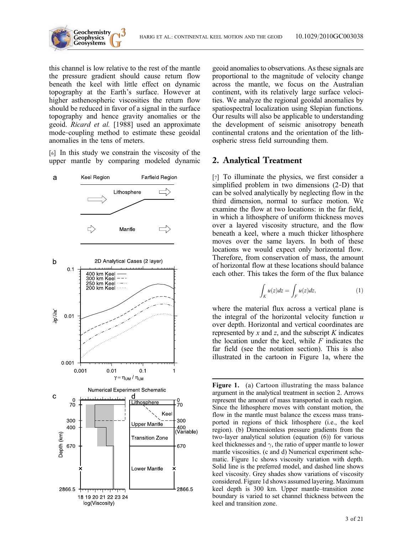



this channel is low relative to the rest of the mantle the pressure gradient should cause return flow beneath the keel with little effect on dynamic topography at the Earth's surface. However at higher asthenospheric viscosities the return flow should be reduced in favor of a signal in the surface topography and hence gravity anomalies or the geoid. Ricard et al. [1988] used an approximate mode‐coupling method to estimate these geoidal anomalies in the tens of meters.

[6] In this study we constrain the viscosity of the upper mantle by comparing modeled dynamic



geoid anomalies to observations. As these signals are proportional to the magnitude of velocity change across the mantle, we focus on the Australian continent, with its relatively large surface velocities. We analyze the regional geoidal anomalies by spatiospectral localization using Slepian functions. Our results will also be applicable to understanding the development of seismic anisotropy beneath continental cratons and the orientation of the lithospheric stress field surrounding them.

# 2. Analytical Treatment

[7] To illuminate the physics, we first consider a simplified problem in two dimensions (2‐D) that can be solved analytically by neglecting flow in the third dimension, normal to surface motion. We examine the flow at two locations: in the far field, in which a lithosphere of uniform thickness moves over a layered viscosity structure, and the flow beneath a keel, where a much thicker lithosphere moves over the same layers. In both of these locations we would expect only horizontal flow. Therefore, from conservation of mass, the amount of horizontal flow at these locations should balance each other. This takes the form of the flux balance

$$
\int_{K} u(z)dz = \int_{F} u(z)dz,
$$
\n(1)

where the material flux across a vertical plane is the integral of the horizontal velocity function  $u$ over depth. Horizontal and vertical coordinates are represented by  $x$  and  $z$ , and the subscript  $K$  indicates the location under the keel, while  $F$  indicates the far field (see the notation section). This is also illustrated in the cartoon in Figure 1a, where the

Figure 1. (a) Cartoon illustrating the mass balance argument in the analytical treatment in section 2. Arrows represent the amount of mass transported in each region. Since the lithosphere moves with constant motion, the flow in the mantle must balance the excess mass transported in regions of thick lithosphere (i.e., the keel region). (b) Dimensionless pressure gradients from the two-layer analytical solution (equation (6)) for various keel thicknesses and  $\gamma$ , the ratio of upper mantle to lower mantle viscosities. (c and d) Numerical experiment schematic. Figure 1c shows viscosity variation with depth. Solid line is the preferred model, and dashed line shows keel viscosity. Grey shades show variations of viscosity considered. Figure 1d shows assumed layering. Maximum keel depth is 300 km. Upper mantle–transition zone boundary is varied to set channel thickness between the keel and transition zone.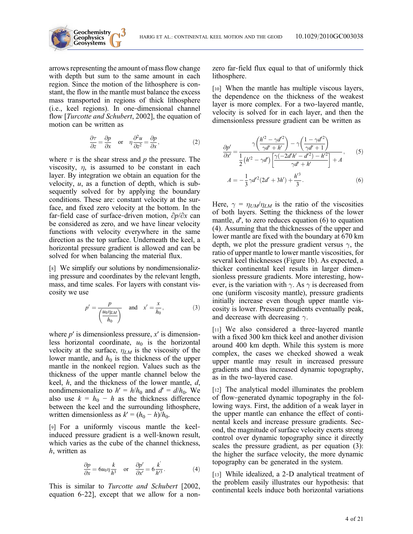arrows representing the amount of mass flow change with depth but sum to the same amount in each region. Since the motion of the lithosphere is constant, the flow in the mantle must balance the excess mass transported in regions of thick lithosphere (i.e., keel regions). In one‐dimensional channel flow [Turcotte and Schubert, 2002], the equation of motion can be written as

**Geochemistry Geophysics**

$$
\frac{\partial \tau}{\partial z} = \frac{\partial p}{\partial x} \quad \text{or} \quad \eta \frac{\partial^2 u}{\partial z^2} = \frac{\partial p}{\partial x},\tag{2}
$$

where  $\tau$  is the shear stress and p the pressure. The viscosity,  $\eta$ , is assumed to be constant in each layer. By integration we obtain an equation for the velocity,  $u$ , as a function of depth, which is subsequently solved for by applying the boundary conditions. These are: constant velocity at the surface, and fixed zero velocity at the bottom. In the far‐field case of surface‐driven motion, ∂p/∂x can be considered as zero, and we have linear velocity functions with velocity everywhere in the same direction as the top surface. Underneath the keel, a horizontal pressure gradient is allowed and can be solved for when balancing the material flux.

[8] We simplify our solutions by nondimensionalizing pressure and coordinates by the relevant length, mass, and time scales. For layers with constant viscosity we use

$$
p' = \frac{p}{\left(\frac{u_0 \eta_{LM}}{h_0}\right)} \quad \text{and} \quad x' = \frac{x}{h_0},\tag{3}
$$

where  $p'$  is dimensionless pressure,  $x'$  is dimensionless horizontal coordinate,  $u_0$  is the horizontal velocity at the surface,  $\eta_{LM}$  is the viscosity of the lower mantle, and  $h_0$  is the thickness of the upper mantle in the nonkeel region. Values such as the thickness of the upper mantle channel below the keel,  $h$ , and the thickness of the lower mantle,  $d$ , nondimensionalize to  $h' = h/h_0$  and  $d' = d/h_0$ . We also use  $k = h_0 - h$  as the thickness difference between the keel and the surrounding lithosphere, written dimensionless as  $k' = (h_0 - h)/h_0$ .

[9] For a uniformly viscous mantle the keelinduced pressure gradient is a well‐known result, which varies as the cube of the channel thickness, h, written as

$$
\frac{\partial p}{\partial x} = 6u_0 \eta \frac{k}{h^3} \quad \text{or} \quad \frac{\partial p'}{\partial x'} = 6 \frac{k'}{h'^3}.
$$
 (4)

This is similar to *Turcotte and Schubert* [2002, equation 6‐22], except that we allow for a nonzero far‐field flux equal to that of uniformly thick lithosphere.

[10] When the mantle has multiple viscous layers, the dependence on the thickness of the weakest layer is more complex. For a two-layered mantle, velocity is solved for in each layer, and then the dimensionless pressure gradient can be written as

$$
\frac{\partial p'}{\partial x'} = \frac{\gamma \left(\frac{h'^2 - \gamma d'^2}{\gamma d' + h'}\right) - \gamma \left(\frac{1 - \gamma d'^2}{\gamma d' + 1}\right)}{\frac{1}{2} \left(h'^2 - \gamma d'\right) \left[\frac{\gamma (-2d'h' - d'^2) - h'^2}{\gamma d' + h'}\right] + A},\tag{5}
$$

$$
A = -\frac{1}{3}\gamma d'^2 (2d' + 3h') + \frac{h'^3}{3}.
$$
 (6)

Here,  $\gamma = \eta_{UM}/\eta_{LM}$  is the ratio of the viscosities of both layers. Setting the thickness of the lower mantle,  $d'$ , to zero reduces equation (6) to equation (4). Assuming that the thicknesses of the upper and lower mantle are fixed with the boundary at 670 km depth, we plot the pressure gradient versus  $\gamma$ , the ratio of upper mantle to lower mantle viscosities, for several keel thicknesses (Figure 1b). As expected, a thicker continental keel results in larger dimensionless pressure gradients. More interesting, however, is the variation with  $\gamma$ . As  $\gamma$  is decreased from one (uniform viscosity mantle), pressure gradients initially increase even though upper mantle viscosity is lower. Pressure gradients eventually peak, and decrease with decreasing  $\gamma$ .

[11] We also considered a three-layered mantle with a fixed 300 km thick keel and another division around 400 km depth. While this system is more complex, the cases we checked showed a weak upper mantle may result in increased pressure gradients and thus increased dynamic topography, as in the two‐layered case.

[12] The analytical model illuminates the problem of flow‐generated dynamic topography in the following ways. First, the addition of a weak layer in the upper mantle can enhance the effect of continental keels and increase pressure gradients. Second, the magnitude of surface velocity exerts strong control over dynamic topography since it directly scales the pressure gradient, as per equation (3): the higher the surface velocity, the more dynamic topography can be generated in the system.

[13] While idealized, a 2-D analytical treatment of the problem easily illustrates our hypothesis: that continental keels induce both horizontal variations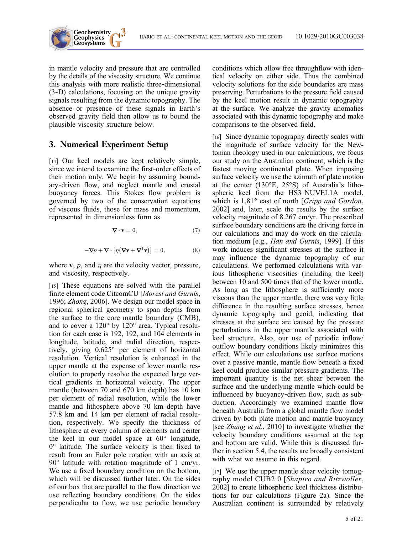

in mantle velocity and pressure that are controlled by the details of the viscosity structure. We continue this analysis with more realistic three‐dimensional (3‐D) calculations, focusing on the unique gravity signals resulting from the dynamic topography. The absence or presence of these signals in Earth's observed gravity field then allow us to bound the plausible viscosity structure below.

# 3. Numerical Experiment Setup

[14] Our keel models are kept relatively simple, since we intend to examine the first-order effects of their motion only. We begin by assuming boundary‐driven flow, and neglect mantle and crustal buoyancy forces. This Stokes flow problem is governed by two of the conservation equations of viscous fluids, those for mass and momentum, represented in dimensionless form as

$$
\boldsymbol{\nabla}\cdot\mathbf{v}=0,\tag{7}
$$

$$
-\nabla p + \nabla \cdot \left[\eta (\nabla \mathbf{v} + \nabla^{\mathrm{T}} \mathbf{v})\right] = 0, \tag{8}
$$

where **v**,  $p$ , and  $\eta$  are the velocity vector, pressure, and viscosity, respectively.

[15] These equations are solved with the parallel finite element code CitcomCU [Moresi and Gurnis, 1996; Zhong, 2006]. We design our model space in regional spherical geometry to span depths from the surface to the core‐mantle boundary (CMB), and to cover a 120° by 120° area. Typical resolution for each case is 192, 192, and 104 elements in longitude, latitude, and radial direction, respectively, giving 0.625° per element of horizontal resolution. Vertical resolution is enhanced in the upper mantle at the expense of lower mantle resolution to properly resolve the expected large vertical gradients in horizontal velocity. The upper mantle (between 70 and 670 km depth) has 10 km per element of radial resolution, while the lower mantle and lithosphere above 70 km depth have 57.8 km and 14 km per element of radial resolution, respectively. We specify the thickness of lithosphere at every column of elements and center the keel in our model space at 60° longitude, 0° latitude. The surface velocity is then fixed to result from an Euler pole rotation with an axis at 90° latitude with rotation magnitude of 1 cm/yr. We use a fixed boundary condition on the bottom, which will be discussed further later. On the sides of our box that are parallel to the flow direction we use reflecting boundary conditions. On the sides perpendicular to flow, we use periodic boundary

conditions which allow free throughflow with identical velocity on either side. Thus the combined velocity solutions for the side boundaries are mass preserving. Perturbations to the pressure field caused by the keel motion result in dynamic topography at the surface. We analyze the gravity anomalies associated with this dynamic topography and make comparisons to the observed field.

[16] Since dynamic topography directly scales with the magnitude of surface velocity for the Newtonian rheology used in our calculations, we focus our study on the Australian continent, which is the fastest moving continental plate. When imposing surface velocity we use the azimuth of plate motion at the center (130°E, 25°S) of Australia's lithospheric keel from the HS3‐NUVEL1A model, which is  $1.81^\circ$  east of north [Gripp and Gordon, 2002] and, later, scale the results by the surface velocity magnitude of 8.267 cm/yr. The prescribed surface boundary conditions are the driving force in our calculations and may do work on the calculation medium [e.g., Han and Gurnis, 1999]. If this work induces significant stresses at the surface it may influence the dynamic topography of our calculations. We performed calculations with various lithospheric viscosities (including the keel) between 10 and 500 times that of the lower mantle. As long as the lithosphere is sufficiently more viscous than the upper mantle, there was very little difference in the resulting surface stresses, hence dynamic topography and geoid, indicating that stresses at the surface are caused by the pressure perturbations in the upper mantle associated with keel structure. Also, our use of periodic inflow/ outflow boundary conditions likely minimizes this effect. While our calculations use surface motions over a passive mantle, mantle flow beneath a fixed keel could produce similar pressure gradients. The important quantity is the net shear between the surface and the underlying mantle which could be influenced by buoyancy‐driven flow, such as subduction. Accordingly we examined mantle flow beneath Australia from a global mantle flow model driven by both plate motion and mantle buoyancy [see *Zhang et al.*, 2010] to investigate whether the velocity boundary conditions assumed at the top and bottom are valid. While this is discussed further in section 5.4, the results are broadly consistent with what we assume in this regard.

[17] We use the upper mantle shear velocity tomography model CUB2.0 [Shapiro and Ritzwoller, 2002] to create lithospheric keel thickness distributions for our calculations (Figure 2a). Since the Australian continent is surrounded by relatively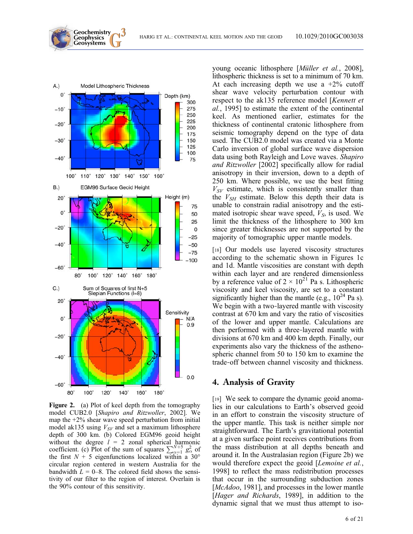

**Geochemistry Geophysics**

Figure 2. (a) Plot of keel depth from the tomography model CUB2.0 [Shapiro and Ritzwoller, 2002]. We map the  $+2\%$  shear wave speed perturbation from initial model ak135 using  $V_{SV}$  and set a maximum lithosphere depth of 300 km. (b) Colored EGM96 geoid height without the degree  $l = 2$  zonal spherical harmonic coefficient. (c) Plot of the sum of squares  $\sum_{\alpha=1}^{N+5} g^2$  of the first  $N + 5$  eigenfunctions localized within a 30° the first  $N + 5$  eigenfunctions localized within a 30° circular region centered in western Australia for the bandwidth  $L = 0-8$ . The colored field shows the sensitivity of our filter to the region of interest. Overlain is the 90% contour of this sensitivity.

young oceanic lithosphere [Müller et al., 2008], lithospheric thickness is set to a minimum of 70 km. At each increasing depth we use a  $+2\%$  cutoff shear wave velocity perturbation contour with respect to the ak135 reference model [Kennett et al., 1995] to estimate the extent of the continental keel. As mentioned earlier, estimates for the thickness of continental cratonic lithosphere from seismic tomography depend on the type of data used. The CUB2.0 model was created via a Monte Carlo inversion of global surface wave dispersion data using both Rayleigh and Love waves. Shapiro and Ritzwoller [2002] specifically allow for radial anisotropy in their inversion, down to a depth of 250 km. Where possible, we use the best fitting  $V_{SV}$  estimate, which is consistently smaller than the  $V_{SH}$  estimate. Below this depth their data is unable to constrain radial anisotropy and the estimated isotropic shear wave speed,  $V<sub>S</sub>$ , is used. We limit the thickness of the lithosphere to 300 km since greater thicknesses are not supported by the majority of tomographic upper mantle models.

[18] Our models use layered viscosity structures according to the schematic shown in Figures 1c and 1d. Mantle viscosities are constant with depth within each layer and are rendered dimensionless by a reference value of  $2 \times 10^{21}$  Pa s. Lithospheric viscosity and keel viscosity, are set to a constant significantly higher than the mantle (e.g.,  $10^{24}$  Pa s). We begin with a two-layered mantle with viscosity contrast at 670 km and vary the ratio of viscosities of the lower and upper mantle. Calculations are then performed with a three‐layered mantle with divisions at 670 km and 400 km depth. Finally, our experiments also vary the thickness of the asthenospheric channel from 50 to 150 km to examine the trade‐off between channel viscosity and thickness.

### 4. Analysis of Gravity

[19] We seek to compare the dynamic geoid anomalies in our calculations to Earth's observed geoid in an effort to constrain the viscosity structure of the upper mantle. This task is neither simple nor straightforward. The Earth's gravitational potential at a given surface point receives contributions from the mass distribution at all depths beneath and around it. In the Australasian region (Figure 2b) we would therefore expect the geoid [Lemoine et al., 1998] to reflect the mass redistribution processes that occur in the surrounding subduction zones [McAdoo, 1981], and processes in the lower mantle [Hager and Richards, 1989], in addition to the dynamic signal that we must thus attempt to iso-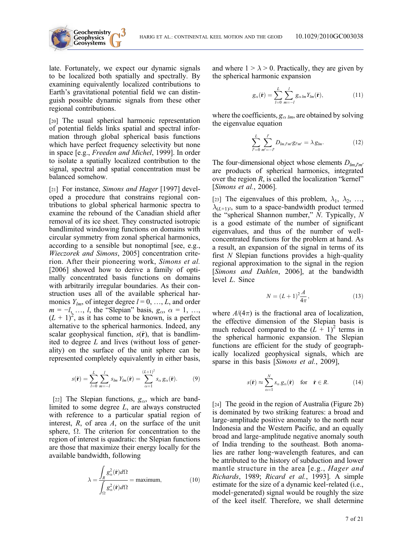

late. Fortunately, we expect our dynamic signals to be localized both spatially and spectrally. By examining equivalently localized contributions to Earth's gravitational potential field we can distinguish possible dynamic signals from these other regional contributions.

[20] The usual spherical harmonic representation of potential fields links spatial and spectral information through global spherical basis functions which have perfect frequency selectivity but none in space [e.g., Freeden and Michel, 1999]. In order to isolate a spatially localized contribution to the signal, spectral and spatial concentration must be balanced somehow.

[21] For instance, Simons and Hager [1997] developed a procedure that constrains regional contributions to global spherical harmonic spectra to examine the rebound of the Canadian shield after removal of its ice sheet. They constructed isotropic bandlimited windowing functions on domains with circular symmetry from zonal spherical harmonics, according to a sensible but nonoptimal [see, e.g., Wieczorek and Simons, 2005] concentration criterion. After their pioneering work, Simons et al. [2006] showed how to derive a family of optimally concentrated basis functions on domains with arbitrarily irregular boundaries. As their construction uses all of the available spherical harmonics  $Y_{lm}$ , of integer degree  $l = 0, ..., L$ , and order  $m = -l, \ldots, l$ , the "Slepian" basis,  $g_{\alpha}, \alpha = 1, \ldots,$  $(L + 1)^2$ , as it has come to be known, is a perfect alternative to the spherical harmonics. Indeed, any scalar geophysical function,  $s(\hat{r})$ , that is bandlimited to degree  $L$  and lives (without loss of generality) on the surface of the unit sphere can be represented completely equivalently in either basis,

$$
s(\hat{\mathbf{r}}) = \sum_{l=0}^{L} \sum_{m=-l}^{l} s_{lm} Y_{lm}(\hat{\mathbf{r}}) = \sum_{\alpha=1}^{(L+1)^2} s_{\alpha} g_{\alpha}(\hat{\mathbf{r}}).
$$
(9)

[22] The Slepian functions,  $g_{\alpha}$ , which are bandlimited to some degree L, are always constructed with reference to a particular spatial region of interest,  $R$ , of area  $A$ , on the surface of the unit sphere,  $\Omega$ . The criterion for concentration to the region of interest is quadratic: the Slepian functions are those that maximize their energy locally for the available bandwidth, following

$$
\lambda = \frac{\int_{R} g_{\alpha}^{2}(\hat{\mathbf{r}}) d\Omega}{\int_{\Omega} g_{\alpha}^{2}(\hat{\mathbf{r}}) d\Omega} = \text{maximum},
$$
\n(10)

and where  $1 > \lambda > 0$ . Practically, they are given by the spherical harmonic expansion

$$
g_{\alpha}(\hat{\mathbf{r}}) = \sum_{l=0}^{L} \sum_{m=-l}^{l} g_{\alpha lm} Y_{lm}(\hat{\mathbf{r}}), \qquad (11)
$$

where the coefficients,  $g_{\alpha lm}$ , are obtained by solving the eigenvalue equation

$$
\sum_{l'=0}^{L} \sum_{m'=-l'}^{l'} D_{lm,l'm'} g_{l'm'} = \lambda g_{lm}.
$$
 (12)

The four-dimensional object whose elements  $D_{lm,l'm'}$ are products of spherical harmonics, integrated over the region  $R$ , is called the localization "kernel" [Simons et al., 2006].

[23] The eigenvalues of this problem,  $\lambda_1$ ,  $\lambda_2$ , …,  $\lambda_{(L+1)^2}$ , sum to a space-bandwidth product termed the "spherical Shannon number," N. Typically, N is a good estimate of the number of significant eigenvalues, and thus of the number of well‐ concentrated functions for the problem at hand. As a result, an expansion of the signal in terms of its first  $N$  Slepian functions provides a high-quality regional approximation to the signal in the region [Simons and Dahlen, 2006], at the bandwidth level L. Since

$$
N = (L+1)^2 \frac{A}{4\pi},
$$
\n(13)

where  $A/(4\pi)$  is the fractional area of localization, the effective dimension of the Slepian basis is much reduced compared to the  $(L + 1)^2$  terms in the spherical harmonic expansion. The Slepian functions are efficient for the study of geographically localized geophysical signals, which are sparse in this basis [Simons et al., 2009],

$$
s(\hat{\mathbf{r}}) \approx \sum_{\alpha=1}^{N} s_{\alpha} g_{\alpha}(\hat{\mathbf{r}}) \quad \text{for} \quad \hat{\mathbf{r}} \in R. \tag{14}
$$

[24] The geoid in the region of Australia (Figure 2b) is dominated by two striking features: a broad and large‐amplitude positive anomaly to the north near Indonesia and the Western Pacific, and an equally broad and large‐amplitude negative anomaly south of India trending to the southeast. Both anomalies are rather long‐wavelength features, and can be attributed to the history of subduction and lower mantle structure in the area [e.g., *Hager and* Richards, 1989; Ricard et al., 1993]. A simple estimate for the size of a dynamic keel‐related (i.e., model‐generated) signal would be roughly the size of the keel itself. Therefore, we shall determine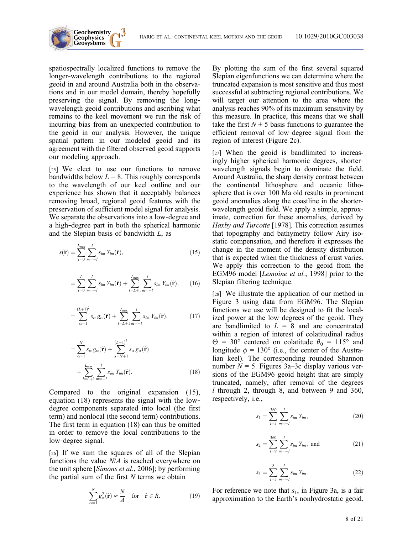

spatiospectrally localized functions to remove the longer‐wavelength contributions to the regional geoid in and around Australia both in the observations and in our model domain, thereby hopefully preserving the signal. By removing the longwavelength geoid contributions and ascribing what remains to the keel movement we run the risk of incurring bias from an unexpected contribution to the geoid in our analysis. However, the unique spatial pattern in our modeled geoid and its agreement with the filtered observed geoid supports our modeling approach.

[25] We elect to use our functions to remove bandwidths below  $L = 8$ . This roughly corresponds to the wavelength of our keel outline and our experience has shown that it acceptably balances removing broad, regional geoid features with the preservation of sufficient model signal for analysis. We separate the observations into a low-degree and a high‐degree part in both the spherical harmonic and the Slepian basis of bandwidth L, as

$$
s(\hat{\mathbf{r}}) = \sum_{l=0}^{L_{\text{max}}} \sum_{m=-l}^{l} s_{lm} Y_{lm}(\hat{\mathbf{r}}),
$$
\n(15)

$$
= \sum_{l=0}^{L} \sum_{m=-l}^{l} s_{lm} Y_{lm}(\hat{\mathbf{r}}) + \sum_{l=L+1}^{L_{\text{max}}} \sum_{m=-l}^{l} s_{lm} Y_{lm}(\hat{\mathbf{r}}), \qquad (16)
$$

$$
= \sum_{\alpha=1}^{(L+1)^2} s_{\alpha} g_{\alpha}(\hat{\mathbf{r}}) + \sum_{l=L+1}^{L_{\max}} \sum_{m=-l}^{l} s_{lm} Y_{lm}(\hat{\mathbf{r}}).
$$
 (17)

$$
= \sum_{\alpha=1}^{N} s_{\alpha} g_{\alpha}(\hat{\mathbf{r}}) + \sum_{\alpha=N+1}^{(L+1)^2} s_{\alpha} g_{\alpha}(\hat{\mathbf{r}})
$$

$$
+ \sum_{l=L+1}^{L_{\text{max}}} \sum_{m=-l}^{l} s_{lm} Y_{lm}(\hat{\mathbf{r}}).
$$
(18)

Compared to the original expansion (15), equation (18) represents the signal with the low‐ degree components separated into local (the first term) and nonlocal (the second term) contributions. The first term in equation (18) can thus be omitted in order to remove the local contributions to the low‐degree signal.

[26] If we sum the squares of all of the Slepian functions the value N/A is reached everywhere on the unit sphere [Simons et al., 2006]; by performing the partial sum of the first  $N$  terms we obtain

$$
\sum_{\alpha=1}^{N} g_{\alpha}^{2}(\hat{\mathbf{r}}) \approx \frac{N}{A} \quad \text{for} \quad \hat{\mathbf{r}} \in R. \tag{19}
$$

By plotting the sum of the first several squared Slepian eigenfunctions we can determine where the truncated expansion is most sensitive and thus most successful at subtracting regional contributions. We will target our attention to the area where the analysis reaches 90% of its maximum sensitivity by this measure. In practice, this means that we shall take the first  $N + 5$  basis functions to guarantee the efficient removal of low‐degree signal from the region of interest (Figure 2c).

[27] When the geoid is bandlimited to increasingly higher spherical harmonic degrees, shorter‐ wavelength signals begin to dominate the field. Around Australia, the sharp density contrast between the continental lithosphere and oceanic lithosphere that is over 100 Ma old results in prominent geoid anomalies along the coastline in the shorter‐ wavelength geoid field. We apply a simple, approximate, correction for these anomalies, derived by Haxby and Turcotte [1978]. This correction assumes that topography and bathymetry follow Airy isostatic compensation, and therefore it expresses the change in the moment of the density distribution that is expected when the thickness of crust varies. We apply this correction to the geoid from the EGM96 model [Lemoine et al., 1998] prior to the Slepian filtering technique.

[28] We illustrate the application of our method in Figure 3 using data from EGM96. The Slepian functions we use will be designed to fit the localized power at the low degrees of the geoid. They are bandlimited to  $L = 8$  and are concentrated within a region of interest of colatitudinal radius  $\Theta = 30^{\circ}$  centered on colatitude  $\theta_0 = 115^{\circ}$  and longitude  $\phi = 130^{\circ}$  (i.e., the center of the Australian keel). The corresponding rounded Shannon number  $N = 5$ . Figures 3a–3c display various versions of the EGM96 geoid height that are simply truncated, namely, after removal of the degrees l through 2, through 8, and between 9 and 360, respectively, i.e.,

$$
s_1 = \sum_{l=3}^{360} \sum_{m=-l}^{l} s_{lm} Y_{lm}, \qquad (20)
$$

$$
s_2 = \sum_{l=9}^{360} \sum_{m=-l}^{l} s_{lm} Y_{lm}, \text{ and} \qquad (21)
$$

$$
s_3 = \sum_{l=3}^{8} \sum_{m=-l}^{l} s_{lm} Y_{lm}.
$$
 (22)

For reference we note that  $s_1$ , in Figure 3a, is a fair approximation to the Earth's nonhydrostatic geoid.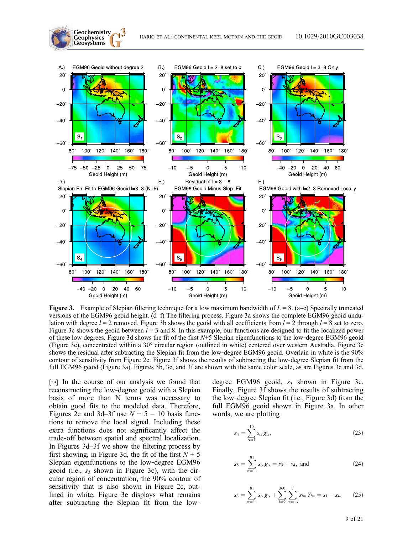

**Figure 3.** Example of Slepian filtering technique for a low maximum bandwidth of  $L = 8$ . (a–c) Spectrally truncated versions of the EGM96 geoid height. (d–f) The filtering process. Figure 3a shows the complete EGM96 geoid undulation with degree  $l = 2$  removed. Figure 3b shows the geoid with all coefficients from  $l = 2$  through  $l = 8$  set to zero. Figure 3c shows the geoid between  $l = 3$  and 8. In this example, our functions are designed to fit the localized power of these low degrees. Figure 3d shows the fit of the first N+5 Slepian eigenfunctions to the low‐degree EGM96 geoid (Figure 3c), concentrated within a 30° circular region (outlined in white) centered over western Australia. Figure 3e shows the residual after subtracting the Slepian fit from the low-degree EGM96 geoid. Overlain in white is the 90% contour of sensitivity from Figure 2c. Figure 3f shows the results of subtracting the low-degree Slepian fit from the full EGM96 geoid (Figure 3a). Figures 3b, 3e, and 3f are shown with the same color scale, as are Figures 3c and 3d.

[29] In the course of our analysis we found that reconstructing the low‐degree geoid with a Slepian basis of more than N terms was necessary to obtain good fits to the modeled data. Therefore, Figures 2c and 3d–3f use  $N + 5 = 10$  basis functions to remove the local signal. Including these extra functions does not significantly affect the trade‐off between spatial and spectral localization. In Figures 3d–3f we show the filtering process by first showing, in Figure 3d, the fit of the first  $N + 5$ Slepian eigenfunctions to the low‐degree EGM96 geoid (i.e.,  $s_3$  shown in Figure 3c), with the circular region of concentration, the 90% contour of sensitivity that is also shown in Figure 2c, outlined in white. Figure 3e displays what remains after subtracting the Slepian fit from the low‐

**Geochemistry**

degree EGM96 geoid,  $s_3$  shown in Figure 3c. Finally, Figure 3f shows the results of subtracting the low‐degree Slepian fit (i.e., Figure 3d) from the full EGM96 geoid shown in Figure 3a. In other words, we are plotting

$$
s_4 = \sum_{\alpha=1}^{10} s_\alpha \, g_\alpha,\tag{23}
$$

$$
s_5 = \sum_{\alpha=11}^{81} s_\alpha g_\alpha = s_3 - s_4, \text{ and } (24)
$$

$$
s_6 = \sum_{\alpha=11}^{81} s_{\alpha} g_{\alpha} + \sum_{l=9}^{360} \sum_{m=-l}^{l} s_{lm} Y_{lm} = s_1 - s_4. \tag{25}
$$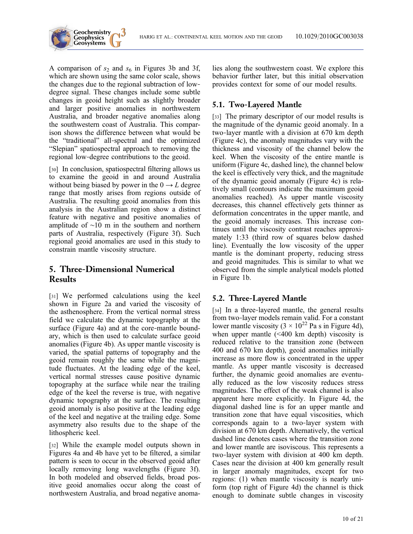

A comparison of  $s_2$  and  $s_6$  in Figures 3b and 3f, which are shown using the same color scale, shows the changes due to the regional subtraction of low‐ degree signal. These changes include some subtle changes in geoid height such as slightly broader and larger positive anomalies in northwestern Australia, and broader negative anomalies along the southwestern coast of Australia. This comparison shows the difference between what would be the "traditional" all‐spectral and the optimized "Slepian" spatiospectral approach to removing the regional low‐degree contributions to the geoid.

[30] In conclusion, spatiospectral filtering allows us to examine the geoid in and around Australia without being biased by power in the  $0 \rightarrow L$  degree range that mostly arises from regions outside of Australia. The resulting geoid anomalies from this analysis in the Australian region show a distinct feature with negative and positive anomalies of amplitude of ∼10 m in the southern and northern parts of Australia, respectively (Figure 3f). Such regional geoid anomalies are used in this study to constrain mantle viscosity structure.

# 5. Three‐Dimensional Numerical **Results**

[31] We performed calculations using the keel shown in Figure 2a and varied the viscosity of the asthenosphere. From the vertical normal stress field we calculate the dynamic topography at the surface (Figure 4a) and at the core-mantle boundary, which is then used to calculate surface geoid anomalies (Figure 4b). As upper mantle viscosity is varied, the spatial patterns of topography and the geoid remain roughly the same while the magnitude fluctuates. At the leading edge of the keel, vertical normal stresses cause positive dynamic topography at the surface while near the trailing edge of the keel the reverse is true, with negative dynamic topography at the surface. The resulting geoid anomaly is also positive at the leading edge of the keel and negative at the trailing edge. Some asymmetry also results due to the shape of the lithospheric keel.

[32] While the example model outputs shown in Figures 4a and 4b have yet to be filtered, a similar pattern is seen to occur in the observed geoid after locally removing long wavelengths (Figure 3f). In both modeled and observed fields, broad positive geoid anomalies occur along the coast of northwestern Australia, and broad negative anomalies along the southwestern coast. We explore this behavior further later, but this initial observation provides context for some of our model results.

# 5.1. Two‐Layered Mantle

[33] The primary descriptor of our model results is the magnitude of the dynamic geoid anomaly. In a two‐layer mantle with a division at 670 km depth (Figure 4c), the anomaly magnitudes vary with the thickness and viscosity of the channel below the keel. When the viscosity of the entire mantle is uniform (Figure 4c, dashed line), the channel below the keel is effectively very thick, and the magnitude of the dynamic geoid anomaly (Figure 4c) is relatively small (contours indicate the maximum geoid anomalies reached). As upper mantle viscosity decreases, this channel effectively gets thinner as deformation concentrates in the upper mantle, and the geoid anomaly increases. This increase continues until the viscosity contrast reaches approximately 1:33 (third row of squares below dashed line). Eventually the low viscosity of the upper mantle is the dominant property, reducing stress and geoid magnitudes. This is similar to what we observed from the simple analytical models plotted in Figure 1b.

# 5.2. Three‐Layered Mantle

[34] In a three-layered mantle, the general results from two‐layer models remain valid. For a constant lower mantle viscosity  $(3 \times 10^{22} \text{ Pa s in Figure 4d})$ , when upper mantle  $(\leq 400 \text{ km depth})$  viscosity is reduced relative to the transition zone (between 400 and 670 km depth), geoid anomalies initially increase as more flow is concentrated in the upper mantle. As upper mantle viscosity is decreased further, the dynamic geoid anomalies are eventually reduced as the low viscosity reduces stress magnitudes. The effect of the weak channel is also apparent here more explicitly. In Figure 4d, the diagonal dashed line is for an upper mantle and transition zone that have equal viscosities, which corresponds again to a two‐layer system with division at 670 km depth. Alternatively, the vertical dashed line denotes cases where the transition zone and lower mantle are isoviscous. This represents a two‐layer system with division at 400 km depth. Cases near the division at 400 km generally result in larger anomaly magnitudes, except for two regions: (1) when mantle viscosity is nearly uniform (top right of Figure 4d) the channel is thick enough to dominate subtle changes in viscosity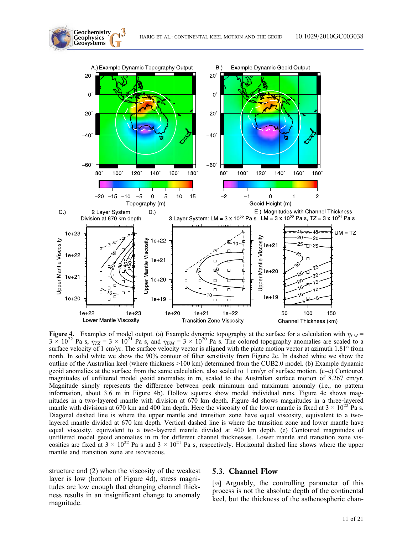

**Figure 4.** Examples of model output. (a) Example dynamic topography at the surface for a calculation with  $\eta_{LM}$  =  $3 \times 10^{21}$  Pa s and  $\eta_{LM}$  =  $3 \times 10^{20}$  Pa s. The colored topography anomalies are scaled to a  $3 \times 10^{22}$  Pa s,  $\eta_{TZ} = 3 \times 10^{21}$  Pa s, and  $\eta_{UM} = 3 \times 10^{20}$  Pa s. The colored topography anomalies are scaled to a surface velocity of 1 cm/yr. The surface velocity vector is aligned with the plate motion vector north. In solid white we show the 90% contour of filter sensitivity from Figure 2c. In dashed white we show the outline of the Australian keel (where thickness >100 km) determined from the CUB2.0 model. (b) Example dynamic geoid anomalies at the surface from the same calculation, also scaled to 1 cm/yr of surface motion. (c–e) Contoured magnitudes of unfiltered model geoid anomalies in m, scaled to the Australian surface motion of 8.267 cm/yr. Magnitude simply represents the difference between peak minimum and maximum anomaly (i.e., no pattern information, about 3.6 m in Figure 4b). Hollow squares show model individual runs. Figure 4c shows magnitudes in a two‐layered mantle with division at 670 km depth. Figure 4d shows magnitudes in a three‐layered mantle with divisions at 670 km and 400 km depth. Here the viscosity of the lower mantle is fixed at  $3 \times 10^{22}$  Pa s. Diagonal dashed line is where the upper mantle and transition zone have equal viscosity, equivalent to a twolayered mantle divided at 670 km depth. Vertical dashed line is where the transition zone and lower mantle have equal viscosity, equivalent to a two-layered mantle divided at 400 km depth. (e) Contoured magnitudes of unfiltered model geoid anomalies in m for different channel thicknesses. Lower mantle and transition zone viscosities are fixed at  $3 \times 10^{22}$  Pa s and  $3 \times 10^{21}$  Pa s, respectively. Horizontal dashed line shows where the upper mantle and transition zone are isoviscous.

structure and (2) when the viscosity of the weakest layer is low (bottom of Figure 4d), stress magnitudes are low enough that changing channel thickness results in an insignificant change to anomaly magnitude.

**Geochemistry Geophysics**

#### 5.3. Channel Flow

[35] Arguably, the controlling parameter of this process is not the absolute depth of the continental keel, but the thickness of the asthenospheric chan-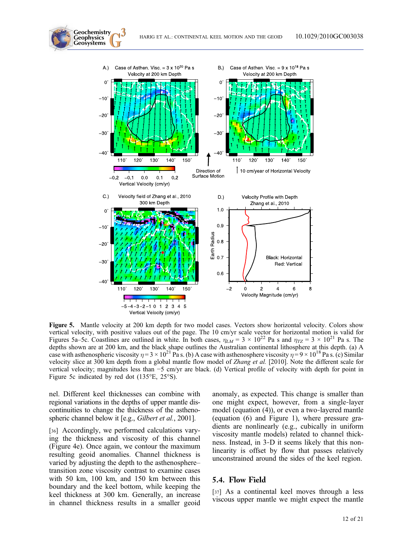

**Figure 5.** Mantle velocity at 200 km depth for two model cases. Vectors show horizontal velocity. Colors show vertical velocity, with positive values out of the page. The 10 cm/yr scale vector for horizontal motion is val Figures 5a–5c. Coastlines are outlined in white. In both cases,  $\eta_{LM} = 3 \times 10^{22}$  Pa s and  $\eta_{TZ} = 3 \times 10^{21}$  Pa s. The depths shown are at 200 km, and the black shape outlines the Australian continental lithosphere at case with asthenospheric viscosity  $\eta = 3 \times 10^{21}$  Pa s. (b) A case with asthenosphere viscosity  $\eta = 9 \times 10^{18}$  Pa s. (c) Similar velocity slice at 300 km depth from a global mantle flow model of Zhang et al. [2010]. Note the different scale for vertical velocity; magnitudes less than −5 cm/yr are black. (d) Vertical profile of velocity with depth for point in Figure 5c indicated by red dot (135°E, 25°S).

nel. Different keel thicknesses can combine with regional variations in the depths of upper mantle discontinuities to change the thickness of the asthenospheric channel below it [e.g., *Gilbert et al.*, 2001].

**Geochemistry Geophysics**

[36] Accordingly, we performed calculations varying the thickness and viscosity of this channel (Figure 4e). Once again, we contour the maximum resulting geoid anomalies. Channel thickness is varied by adjusting the depth to the asthenosphere– transition zone viscosity contrast to examine cases with 50 km, 100 km, and 150 km between this boundary and the keel bottom, while keeping the keel thickness at 300 km. Generally, an increase in channel thickness results in a smaller geoid anomaly, as expected. This change is smaller than one might expect, however, from a single‐layer model (equation (4)), or even a two-layered mantle (equation (6) and Figure 1), where pressure gradients are nonlinearly (e.g., cubically in uniform viscosity mantle models) related to channel thickness. Instead, in 3‐D it seems likely that this nonlinearity is offset by flow that passes relatively unconstrained around the sides of the keel region.

#### 5.4. Flow Field

[37] As a continental keel moves through a less viscous upper mantle we might expect the mantle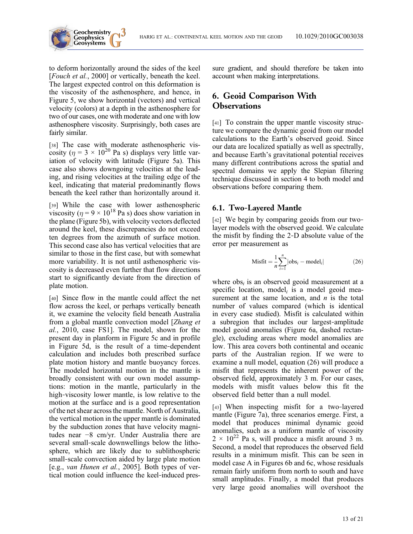

to deform horizontally around the sides of the keel [Fouch et al., 2000] or vertically, beneath the keel. The largest expected control on this deformation is the viscosity of the asthenosphere, and hence, in Figure 5, we show horizontal (vectors) and vertical velocity (colors) at a depth in the asthenosphere for two of our cases, one with moderate and one with low asthenosphere viscosity. Surprisingly, both cases are fairly similar.

[38] The case with moderate asthenospheric viscosity ( $\eta = 3 \times 10^{20}$  Pa s) displays very little variation of velocity with latitude (Figure 5a). This case also shows downgoing velocities at the leading, and rising velocities at the trailing edge of the keel, indicating that material predominantly flows beneath the keel rather than horizontally around it.

[39] While the case with lower asthenospheric viscosity ( $\eta = 9 \times 10^{18}$  Pa s) does show variation in the plane (Figure 5b), with velocity vectors deflected around the keel, these discrepancies do not exceed ten degrees from the azimuth of surface motion. This second case also has vertical velocities that are similar to those in the first case, but with somewhat more variability. It is not until asthenospheric viscosity is decreased even further that flow directions start to significantly deviate from the direction of plate motion.

[40] Since flow in the mantle could affect the net flow across the keel, or perhaps vertically beneath it, we examine the velocity field beneath Australia from a global mantle convection model [Zhang et al., 2010, case FS1]. The model, shown for the present day in planform in Figure 5c and in profile in Figure 5d, is the result of a time‐dependent calculation and includes both prescribed surface plate motion history and mantle buoyancy forces. The modeled horizontal motion in the mantle is broadly consistent with our own model assumptions: motion in the mantle, particularly in the high-viscosity lower mantle, is low relative to the motion at the surface and is a good representation of the net shear across the mantle. North of Australia, the vertical motion in the upper mantle is dominated by the subduction zones that have velocity magnitudes near −8 cm/yr. Under Australia there are several small‐scale downwellings below the lithosphere, which are likely due to sublithospheric small-scale convection aided by large plate motion [e.g., van Hunen et al., 2005]. Both types of vertical motion could influence the keel‐induced pressure gradient, and should therefore be taken into account when making interpretations.

# 6. Geoid Comparison With **Observations**

[41] To constrain the upper mantle viscosity structure we compare the dynamic geoid from our model calculations to the Earth's observed geoid. Since our data are localized spatially as well as spectrally, and because Earth's gravitational potential receives many different contributions across the spatial and spectral domains we apply the Slepian filtering technique discussed in section 4 to both model and observations before comparing them.

## 6.1. Two‐Layered Mantle

[42] We begin by comparing geoids from our twolayer models with the observed geoid. We calculate the misfit by finding the 2‐D absolute value of the error per measurement as

$$
\text{Misfit} = \frac{1}{n} \sum_{i=1}^{n} |\text{obs}_i - \text{model}_i| \tag{26}
$$

where  $obs<sub>i</sub>$  is an observed geoid measurement at a specific location, model, is a model geoid measurement at the same location, and  $n$  is the total number of values compared (which is identical in every case studied). Misfit is calculated within a subregion that includes our largest‐amplitude model geoid anomalies (Figure 6a, dashed rectangle), excluding areas where model anomalies are low. This area covers both continental and oceanic parts of the Australian region. If we were to examine a null model, equation (26) will produce a misfit that represents the inherent power of the observed field, approximately 3 m. For our cases, models with misfit values below this fit the observed field better than a null model.

[43] When inspecting misfit for a two-layered mantle (Figure 7a), three scenarios emerge. First, a model that produces minimal dynamic geoid anomalies, such as a uniform mantle of viscosity  $2 \times 10^{22}$  Pa s, will produce a misfit around 3 m. Second, a model that reproduces the observed field results in a minimum misfit. This can be seen in model case A in Figures 6b and 6c, whose residuals remain fairly uniform from north to south and have small amplitudes. Finally, a model that produces very large geoid anomalies will overshoot the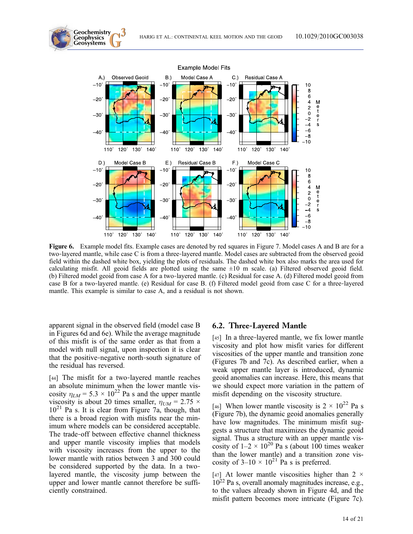

Figure 6. Example model fits. Example cases are denoted by red squares in Figure 7. Model cases A and B are for a two‐layered mantle, while case C is from a three‐layered mantle. Model cases are subtracted from the observed geoid field within the dashed white box, yielding the plots of residuals. The dashed white box also marks the area used for calculating misfit. All geoid fields are plotted using the same  $\pm 10$  m scale. (a) Filtered observed geoid field. (b) Filtered model geoid from case A for a two-layered mantle. (c) Residual for case A. (d) Filtered model geoid from case B for a two‐layered mantle. (e) Residual for case B. (f) Filtered model geoid from case C for a three‐layered mantle. This example is similar to case A, and a residual is not shown.

apparent signal in the observed field (model case B in Figures 6d and 6e). While the average magnitude of this misfit is of the same order as that from a model with null signal, upon inspection it is clear that the positive‐negative north‐south signature of the residual has reversed.

**Geochemistry Geophysics**

[44] The misfit for a two-layered mantle reaches an absolute minimum when the lower mantle viscosity  $\eta_{LM} = 5.3 \times 10^{22}$  Pa s and the upper mantle<br>viscosity is about 20 times smaller  $n_{LM} = 2.75 \times$ viscosity is about 20 times smaller,  $\eta_{UM} = 2.75 \times 10^{21}$  Pa s. It is clear from Figure 7a, though that  $10^{21}$  Pa s. It is clear from Figure 7a, though, that there is a broad region with misfits near the minimum where models can be considered acceptable. The trade‐off between effective channel thickness and upper mantle viscosity implies that models with viscosity increases from the upper to the lower mantle with ratios between 3 and 300 could be considered supported by the data. In a twolayered mantle, the viscosity jump between the upper and lower mantle cannot therefore be sufficiently constrained.

#### 6.2. Three‐Layered Mantle

[45] In a three-layered mantle, we fix lower mantle viscosity and plot how misfit varies for different viscosities of the upper mantle and transition zone (Figures 7b and 7c). As described earlier, when a weak upper mantle layer is introduced, dynamic geoid anomalies can increase. Here, this means that we should expect more variation in the pattern of misfit depending on the viscosity structure.

[46] When lower mantle viscosity is  $2 \times 10^{22}$  Pa s (Figure 7b), the dynamic geoid anomalies generally have low magnitudes. The minimum misfit suggests a structure that maximizes the dynamic geoid signal. Thus a structure with an upper mantle viscosity of  $1-2 \times 10^{20}$  Pa s (about 100 times weaker than the lower mantle) and a transition zone viscosity of  $3-10 \times 10^{21}$  Pa s is preferred.

[47] At lower mantle viscosities higher than  $2 \times$ 1022 Pa s, overall anomaly magnitudes increase, e.g., to the values already shown in Figure 4d, and the misfit pattern becomes more intricate (Figure 7c).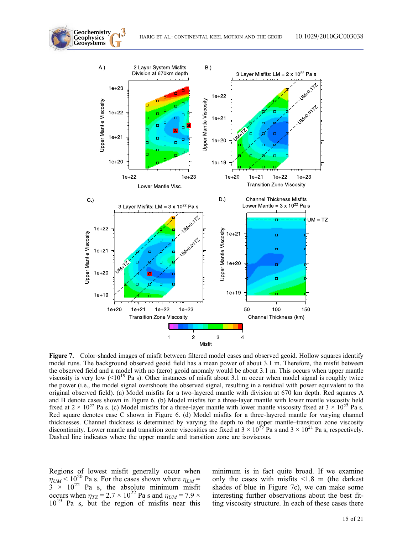

Figure 7. Color-shaded images of misfit between filtered model cases and observed geoid. Hollow squares identify model runs. The background observed geoid field has a mean power of about 3.1 m. Therefore, the misfit between the observed field and a model with no (zero) geoid anomaly would be about 3.1 m. This occurs when upper mantle viscosity is very low  $(<10^{19}$  Pa s). Other instances of misfit about 3.1 m occur when model signal is roughly twice the power (i.e., the model signal overshoots the observed signal, resulting in a residual with power equivalent to the original observed field). (a) Model misfits for a two‐layered mantle with division at 670 km depth. Red squares A and B denote cases shown in Figure 6. (b) Model misfits for a three‐layer mantle with lower mantle viscosity held fixed at  $2 \times 10^{22}$  Pa s. (c) Model misfits for a three-layer mantle with lower mantle viscosity fixed at  $3 \times 10^{22}$  Pa s. Red square denotes case C shown in Figure 6. (d) Model misfits for a three-layered mantle for varying channel thicknesses. Channel thickness is determined by varying the depth to the upper mantle–transition zone viscosity discontinuity. Lower mantle and transition zone viscosities are fixed at  $3 \times 10^{22}$  Pa s and  $3 \times 10^{21}$  Pa s, respectively. Dashed line indicates where the upper mantle and transition zone are isoviscous.

Regions of lowest misfit generally occur when  $\eta_{UM}$  < 10<sup>20</sup> Pa s. For the cases shown where  $\eta_{LM}$  = 3 × 10<sup>22</sup> Pa s, the absolute minimum misfit occurs when  $\eta_{TZ} = 2.7 \times 10^{22}$  Pa s and  $\eta_{UM} = 7.9 \times 10^{19}$  Pa s, but the region of misfits near this

**Geochemistry Geophysics**

> minimum is in fact quite broad. If we examine only the cases with misfits <1.8 m (the darkest shades of blue in Figure 7c), we can make some interesting further observations about the best fitting viscosity structure. In each of these cases there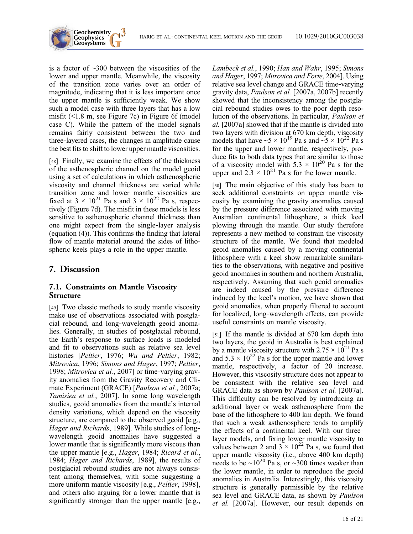

is a factor of ∼300 between the viscosities of the lower and upper mantle. Meanwhile, the viscosity of the transition zone varies over an order of magnitude, indicating that it is less important once the upper mantle is sufficiently weak. We show such a model case with three layers that has a low misfit (<1.8 m, see Figure 7c) in Figure 6f (model case C). While the pattern of the model signals remains fairly consistent between the two and three‐layered cases, the changes in amplitude cause the best fits to shift to lower upper mantle viscosities.

[48] Finally, we examine the effects of the thickness of the asthenospheric channel on the model geoid using a set of calculations in which asthenospheric viscosity and channel thickness are varied while transition zone and lower mantle viscosities are fixed at  $3 \times 10^{21}$  Pa s and  $3 \times 10^{22}$  Pa s, respectively (Figure 7d). The misfit in these models is less sensitive to asthenospheric channel thickness than one might expect from the single‐layer analysis (equation (4)). This confirms the finding that lateral flow of mantle material around the sides of lithospheric keels plays a role in the upper mantle.

# 7. Discussion

## 7.1. Constraints on Mantle Viscosity Structure

[49] Two classic methods to study mantle viscosity make use of observations associated with postglacial rebound, and long‐wavelength geoid anomalies. Generally, in studies of postglacial rebound, the Earth's response to surface loads is modeled and fit to observations such as relative sea level histories [Peltier, 1976; Wu and Peltier, 1982; Mitrovica, 1996; Simons and Hager, 1997; Peltier, 1998; Mitrovica et al., 2007] or time-varying gravity anomalies from the Gravity Recovery and Climate Experiment (GRACE) [Paulson et al., 2007a; Tamisiea et al., 2007]. In some long-wavelength studies, geoid anomalies from the mantle's internal density variations, which depend on the viscosity structure, are compared to the observed geoid [e.g., Hager and Richards, 1989]. While studies of longwavelength geoid anomalies have suggested a lower mantle that is significantly more viscous than the upper mantle [e.g., Hager, 1984; Ricard et al., 1984; Hager and Richards, 1989], the results of postglacial rebound studies are not always consistent among themselves, with some suggesting a more uniform mantle viscosity [e.g., *Peltier*, 1998], and others also arguing for a lower mantle that is significantly stronger than the upper mantle [e.g.,

Lambeck et al., 1990; Han and Wahr, 1995; Simons and Hager, 1997; Mitrovica and Forte, 2004]. Using relative sea level change and GRACE time‐varying gravity data, Paulson et al. [2007a, 2007b] recently showed that the inconsistency among the postglacial rebound studies owes to the poor depth resolution of the observations. In particular, Paulson et al. [2007a] showed that if the mantle is divided into two layers with division at 670 km depth, viscosity models that have ~5 × 10<sup>19</sup> Pa s and ~5 × 10<sup>22</sup> Pa s for the upper and lower mantle, respectively, produce fits to both data types that are similar to those of a viscosity model with  $5.3 \times 10^{20}$  Pa s for the upper and  $2.3 \times 10^{21}$  Pa s for the lower mantle.

[50] The main objective of this study has been to seek additional constraints on upper mantle viscosity by examining the gravity anomalies caused by the pressure difference associated with moving Australian continental lithosphere, a thick keel plowing through the mantle. Our study therefore represents a new method to constrain the viscosity structure of the mantle. We found that modeled geoid anomalies caused by a moving continental lithosphere with a keel show remarkable similarities to the observations, with negative and positive geoid anomalies in southern and northern Australia, respectively. Assuming that such geoid anomalies are indeed caused by the pressure difference induced by the keel's motion, we have shown that geoid anomalies, when properly filtered to account for localized, long‐wavelength effects, can provide useful constraints on mantle viscosity.

[51] If the mantle is divided at 670 km depth into two layers, the geoid in Australia is best explained by a mantle viscosity structure with  $2.75 \times 10^{21}$  Pa s and  $5.3 \times 10^{22}$  Pa s for the upper mantle and lower mantle, respectively, a factor of 20 increase. However, this viscosity structure does not appear to be consistent with the relative sea level and GRACE data as shown by Paulson et al. [2007a]. This difficulty can be resolved by introducing an additional layer or weak asthenosphere from the base of the lithosphere to 400 km depth. We found that such a weak asthenosphere tends to amplify the effects of a continental keel. With our three‐ layer models, and fixing lower mantle viscosity to values between 2 and  $3 \times 10^{22}$  Pa s, we found that upper mantle viscosity (i.e., above 400 km depth) needs to be ~10<sup>20</sup> Pa s, or ~300 times weaker than the lower mantle, in order to reproduce the geoid anomalies in Australia. Interestingly, this viscosity structure is generally permissible by the relative sea level and GRACE data, as shown by Paulson et al. [2007a]. However, our result depends on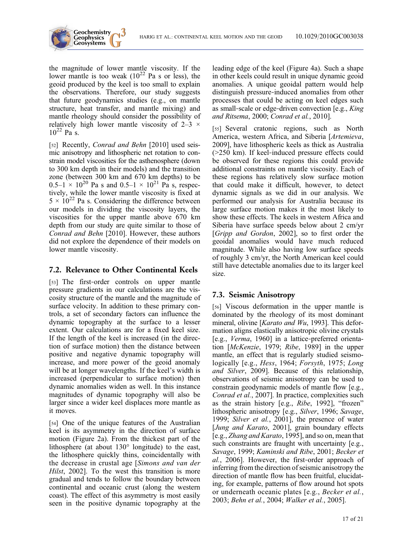



the magnitude of lower mantle viscosity. If the lower mantle is too weak  $(10^{22}$  Pa s or less), the geoid produced by the keel is too small to explain the observations. Therefore, our study suggests that future geodynamics studies (e.g., on mantle structure, heat transfer, and mantle mixing) and mantle rheology should consider the possibility of relatively high lower mantle viscosity of  $2-3 \times$  $10^{22}$  Pa s.

[52] Recently, Conrad and Behn [2010] used seismic anisotropy and lithospheric net rotation to constrain model viscosities for the asthenosphere (down to 300 km depth in their models) and the transition zone (between 300 km and 670 km depths) to be  $0.5-1 \times 10^{20}$  Pa s and  $0.5-1 \times 10^{21}$  Pa s, respectively, while the lower mantle viscosity is fixed at  $5 \times 10^{22}$  Pa s. Considering the difference between our models in dividing the viscosity layers, the viscosities for the upper mantle above 670 km depth from our study are quite similar to those of Conrad and Behn [2010]. However, these authors did not explore the dependence of their models on lower mantle viscosity.

# 7.2. Relevance to Other Continental Keels

[53] The first-order controls on upper mantle pressure gradients in our calculations are the viscosity structure of the mantle and the magnitude of surface velocity. In addition to these primary controls, a set of secondary factors can influence the dynamic topography at the surface to a lesser extent. Our calculations are for a fixed keel size. If the length of the keel is increased (in the direction of surface motion) then the distance between positive and negative dynamic topography will increase, and more power of the geoid anomaly will be at longer wavelengths. If the keel's width is increased (perpendicular to surface motion) then dynamic anomalies widen as well. In this instance magnitudes of dynamic topography will also be larger since a wider keel displaces more mantle as it moves.

[54] One of the unique features of the Australian keel is its asymmetry in the direction of surface motion (Figure 2a). From the thickest part of the lithosphere (at about 130° longitude) to the east, the lithosphere quickly thins, coincidentally with the decrease in crustal age [Simons and van der Hilst, 2002]. To the west this transition is more gradual and tends to follow the boundary between continental and oceanic crust (along the western coast). The effect of this asymmetry is most easily seen in the positive dynamic topography at the leading edge of the keel (Figure 4a). Such a shape in other keels could result in unique dynamic geoid anomalies. A unique geoidal pattern would help distinguish pressure‐induced anomalies from other processes that could be acting on keel edges such as small‐scale or edge‐driven convection [e.g., King and Ritsema, 2000; Conrad et al., 2010].

[55] Several cratonic regions, such as North America, western Africa, and Siberia [Artemieva, 2009], have lithospheric keels as thick as Australia (>250 km). If keel‐induced pressure effects could be observed for these regions this could provide additional constraints on mantle viscosity. Each of these regions has relatively slow surface motion that could make it difficult, however, to detect dynamic signals as we did in our analysis. We performed our analysis for Australia because its large surface motion makes it the most likely to show these effects. The keels in western Africa and Siberia have surface speeds below about 2 cm/yr [Gripp and Gordon, 2002], so to first order the geoidal anomalies would have much reduced magnitude. While also having low surface speeds of roughly 3 cm/yr, the North American keel could still have detectable anomalies due to its larger keel size.

# 7.3. Seismic Anisotropy

[56] Viscous deformation in the upper mantle is dominated by the rheology of its most dominant mineral, olivine [Karato and Wu, 1993]. This deformation aligns elastically anisotropic olivine crystals [e.g., *Verma*, 1960] in a lattice-preferred orientation [McKenzie, 1979; Ribe, 1989] in the upper mantle, an effect that is regularly studied seismologically [e.g., Hess, 1964; Forsyth, 1975; Long and Silver, 2009]. Because of this relationship, observations of seismic anisotropy can be used to constrain geodynamic models of mantle flow [e.g., Conrad et al., 2007]. In practice, complexities such as the strain history [e.g., Ribe, 1992], "frozen" lithospheric anisotropy [e.g., Silver, 1996; Savage, 1999; Silver et al., 2001], the presence of water [Jung and Karato, 2001], grain boundary effects [e.g., Zhang and Karato, 1995], and so on, mean that such constraints are fraught with uncertainty [e.g., Savage, 1999; Kaminski and Ribe, 2001; Becker et al., 2006]. However, the first‐order approach of inferring from the direction of seismic anisotropy the direction of mantle flow has been fruitful, elucidating, for example, patterns of flow around hot spots or underneath oceanic plates [e.g., Becker et al., 2003; Behn et al., 2004; Walker et al., 2005].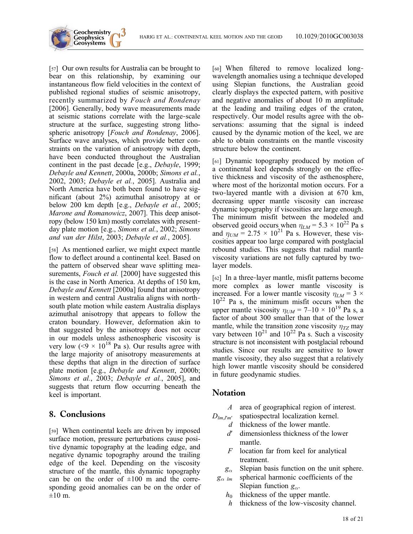

[57] Our own results for Australia can be brought to bear on this relationship, by examining our instantaneous flow field velocities in the context of published regional studies of seismic anisotropy, recently summarized by Fouch and Rondenay [2006]. Generally, body wave measurements made at seismic stations correlate with the large‐scale structure at the surface, suggesting strong lithospheric anisotropy [Fouch and Rondenay, 2006]. Surface wave analyses, which provide better constraints on the variation of anisotropy with depth, have been conducted throughout the Australian continent in the past decade [e.g., Debayle, 1999; Debayle and Kennett, 2000a, 2000b; Simons et al., 2002, 2003; Debayle et al., 2005]. Australia and North America have both been found to have significant (about 2%) azimuthal anisotropy at or below 200 km depth [e.g., Debayle et al., 2005; Marone and Romanowicz, 2007]. This deep anisotropy (below 150 km) mostly correlates with present‐ day plate motion [e.g., Simons et al., 2002; Simons and van der Hilst, 2003; Debayle et al., 2005].

[58] As mentioned earlier, we might expect mantle flow to deflect around a continental keel. Based on the pattern of observed shear wave splitting measurements, *Fouch et al.* [2000] have suggested this is the case in North America. At depths of 150 km, Debayle and Kennett [2000a] found that anisotropy in western and central Australia aligns with north‐ south plate motion while eastern Australia displays azimuthal anisotropy that appears to follow the craton boundary. However, deformation akin to that suggested by the anisotropy does not occur in our models unless asthenospheric viscosity is very low (<9  $\times$  10<sup>18</sup> Pa s). Our results agree with the large majority of anisotropy measurements at these depths that align in the direction of surface plate motion [e.g., Debayle and Kennett, 2000b; Simons et al., 2003; Debayle et al., 2005], and suggests that return flow occurring beneath the keel is important.

## 8. Conclusions

[59] When continental keels are driven by imposed surface motion, pressure perturbations cause positive dynamic topography at the leading edge, and negative dynamic topography around the trailing edge of the keel. Depending on the viscosity structure of the mantle, this dynamic topography can be on the order of  $\pm 100$  m and the corresponding geoid anomalies can be on the order of  $\pm 10$  m.

[60] When filtered to remove localized longwavelength anomalies using a technique developed using Slepian functions, the Australian geoid clearly displays the expected pattern, with positive and negative anomalies of about 10 m amplitude at the leading and trailing edges of the craton, respectively. Our model results agree with the observations: assuming that the signal is indeed caused by the dynamic motion of the keel, we are able to obtain constraints on the mantle viscosity structure below the continent.

[61] Dynamic topography produced by motion of a continental keel depends strongly on the effective thickness and viscosity of the asthenosphere, where most of the horizontal motion occurs. For a two‐layered mantle with a division at 670 km, decreasing upper mantle viscosity can increase dynamic topography if viscosities are large enough. The minimum misfit between the modeled and observed geoid occurs when  $\eta_{LM} = 5.3 \times 10^{22}$  Pa s<br>and  $\eta_{LM} = 2.75 \times 10^{21}$  Pa s. However, these visand  $\eta_{UM} = 2.75 \times 10^{21}$  Pa s. However, these vis-<br>cosities annear too large compared with nostalacial cosities appear too large compared with postglacial rebound studies. This suggests that radial mantle viscosity variations are not fully captured by two‐ layer models.

[62] In a three-layer mantle, misfit patterns become more complex as lower mantle viscosity is increased. For a lower mantle viscosity  $\eta_{LM} = 3 \times$  $10^{22}$  Pa s, the minimum misfit occurs when the upper mantle viscosity  $\eta_{UM}$  = 7–10 × 10<sup>19</sup> Pa s, a factor of about 300 smaller than that of the lower mantle, while the transition zone viscosity  $\eta_{TZ}$  may vary between  $10^{21}$  and  $10^{22}$  Pa s. Such a viscosity structure is not inconsistent with postglacial rebound studies. Since our results are sensitive to lower mantle viscosity, they also suggest that a relatively high lower mantle viscosity should be considered in future geodynamic studies.

# **Notation**

A area of geographical region of interest.

 $D_{lm,l'm'}$  spatiospectral localization kernel.

- d thickness of the lower mantle.
- d′ dimensionless thickness of the lower mantle.
- $F$  location far from keel for analytical treatment.
- $g_{\alpha}$  Slepian basis function on the unit sphere.<br> $g_{\alpha \ lm}$  spherical harmonic coefficients of the
- spherical harmonic coefficients of the Slepian function  $g_{\alpha}$ .
	- $h_0$  thickness of the upper mantle.
	- h thickness of the low-viscosity channel.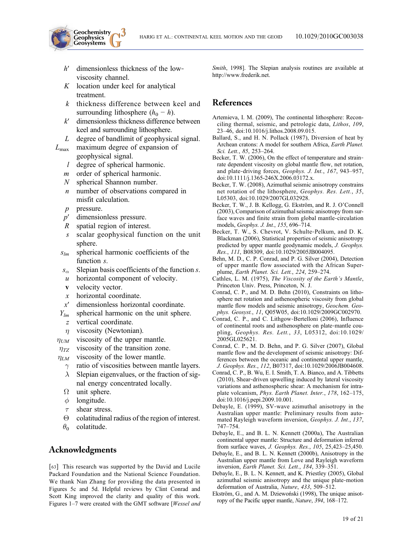

- h' dimensionless thickness of the lowviscosity channel.
- $K$  location under keel for analytical treatment.
- k thickness difference between keel and surrounding lithosphere  $(h_0 - h)$ .
- $k'$  dimensionless thickness difference between keel and surrounding lithosphere.
- L degree of bandlimit of geophysical signal.
- $L_{\text{max}}$  maximum degree of expansion of geophysical signal.
	- l degree of spherical harmonic.
	- m order of spherical harmonic.
	- N spherical Shannon number.
	- $n$  number of observations compared in misfit calculation.
	- p pressure.
	- p′ dimensionless pressure.
	- R spatial region of interest.
	- s scalar geophysical function on the unit sphere.
	- $s_{lm}$  spherical harmonic coefficients of the function s.
	- $s_{\alpha}$  Slepian basis coefficients of the function s.<br>
	u horizontal component of velocity.
	- horizontal component of velocity.
	- v velocity vector.
	- x horizontal coordinate.
	- x′ dimensionless horizontal coordinate.
	- $Y_{lm}$  spherical harmonic on the unit sphere.
	- z vertical coordinate.
	-
- $\eta$  viscosity (Newtonian).<br> $\eta_{UM}$  viscosity of the upper
- $\eta_{UM}$  viscosity of the upper mantle.<br> $\eta_{TZ}$  viscosity of the transition zone  $\eta_{TX}$  viscosity of the transition zone.<br> $\eta_{LM}$  viscosity of the lower mantle.
- - M viscosity of the lower mantle.<br>  $\gamma$  ratio of viscosities between ma  $\gamma$  ratio of viscosities between mantle layers.<br>  $\lambda$  Slepian eigenvalues, or the fraction of sig-
	- Slepian eigenvalues, or the fraction of signal energy concentrated locally.
	- $\Omega$  unit sphere.
	- $\phi$  longitude.
	- $\tau$  shear stress.<br>  $\Theta$  colatitudinal
	- colatitudinal radius of the region of interest.
- $\theta_0$  colatitude.

# Acknowledgments

[63] This research was supported by the David and Lucile Packard Foundation and the National Science Foundation. We thank Nan Zhang for providing the data presented in Figures 5c and 5d. Helpful reviews by Clint Conrad and Scott King improved the clarity and quality of this work. Figures 1–7 were created with the GMT software [Wessel and Smith, 1998]. The Slepian analysis routines are available at http://www.frederik.net.

# References

- Artemieva, I. M. (2009), The continental lithosphere: Reconciling thermal, seismic, and petrologic data, *Lithos*, 109, 23–46, doi:10.1016/j.lithos.2008.09.015.
- Ballard, S., and H. N. Pollack (1987), Diversion of heat by Archean cratons: A model for southern Africa, Earth Planet. Sci. Lett., 85, 253–264.
- Becker, T. W. (2006), On the effect of temperature and strainrate dependent viscosity on global mantle flow, net rotation, and plate-driving forces, Geophys. J. Int., 167, 943-957, doi:10.1111/j.1365-246X.2006.03172.x.
- Becker, T. W. (2008), Azimuthal seismic anisotropy constrains net rotation of the lithosphere, Geophys. Res. Lett., 35, L05303, doi:10.1029/2007GL032928.
- Becker, T. W., J. B. Kellogg, G. Ekström, and R. J. O'Connell (2003), Comparison of azimuthal seismic anisotropy from surface waves and finite strain from global mantle‐circulation models, Geophys. J. Int., 155, 696–714.
- Becker, T. W., S. Chevrot, V. Schulte‐Pelkum, and D. K. Blackman (2006), Statistical properties of seismic anisotropy predicted by upper mantle geodynamic models, J. Geophys. Res., 111, B08309, doi:10.1029/2005JB004095.
- Behn, M. D., C. P. Conrad, and P. G. Silver (2004), Detection of upper mantle flow associated with the African Superplume, Earth Planet. Sci. Lett., 224, 259–274.
- Cathles, L. M. (1975), The Viscosity of the Earth's Mantle, Princeton Univ. Press, Princeton, N. J.
- Conrad, C. P., and M. D. Behn (2010), Constraints on lithosphere net rotation and asthenospheric viscosity from global mantle flow models and seismic anisotropy, Geochem. Geophys. Geosyst., 11, Q05W05, doi:10.1029/2009GC002970.
- Conrad, C. P., and C. Lithgow‐Bertelloni (2006), Influence of continental roots and asthenosphere on plate‐mantle coupling, Geophys. Res. Lett., 33, L05312, doi:10.1029/ 2005GL025621.
- Conrad, C. P., M. D. Behn, and P. G. Silver (2007), Global mantle flow and the development of seismic anisotropy: Differences between the oceanic and continental upper mantle, J. Geophys. Res., 112, B07317, doi:10.1029/2006JB004608.
- Conrad, C. P., B. Wu, E. I. Smith, T. A. Bianco, and A. Tibbetts (2010), Shear‐driven upwelling induced by lateral viscosity variations and asthenospheric shear: A mechanism for intraplate volcanism, Phys. Earth Planet. Inter., 178, 162–175, doi:10.1016/j.pepi.2009.10.001.
- Debayle, E. (1999), SV‐wave azimuthal anisotropy in the Australian upper mantle: Preliminary results from automated Rayleigh waveform inversion, Geophys. J. Int., 137, 747–754.
- Debayle, E., and B. L. N. Kennett (2000a), The Australian continental upper mantle: Structure and deformation inferred from surface waves, *J. Geophys. Res.*, 105, 25,423–25,450.
- Debayle, E., and B. L. N. Kennett (2000b), Anisotropy in the Australian upper mantle from Love and Rayleigh waveform inversion, Earth Planet. Sci. Lett., 184, 339-351.
- Debayle, E., B. L. N. Kennett, and K. Priestley (2005), Global azimuthal seismic anisotropy and the unique plate‐motion deformation of Australia, Nature, 433, 509–512.
- Ekström, G., and A. M. Dziewoński (1998), The unique anisotropy of the Pacific upper mantle, Nature, 394, 168–172.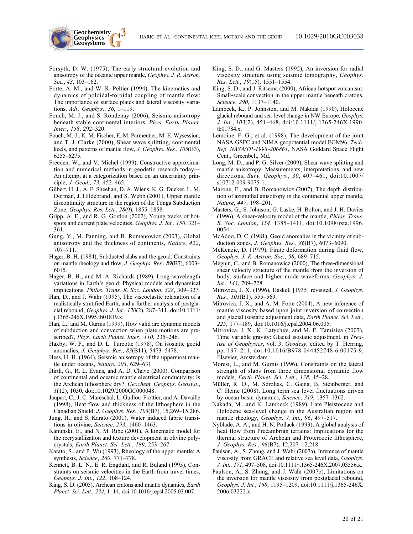- **Geochemistry Geophysics**
- Forsyth, D. W. (1975), The early structural evolution and anisotropy of the oceanic upper mantle, Geophys. J. R. Astron. Soc., 43, 103-162.
- Forte, A. M., and W. R. Peltier (1994), The kinematics and dynamics of poloidal‐toroidal coupling of mantle flow: The importance of surface plates and lateral viscosity variations, Adv. Geophys., 36, 1–119.
- Fouch, M. J., and S. Rondenay (2006), Seismic anisotropy beneath stable continental interiors, Phys. Earth Planet. Inter., 158, 292–320.
- Fouch, M. J., K. M. Fischer, E. M. Parmentier, M. E. Wysession, and T. J. Clarke (2000), Shear wave splitting, continental keels, and patterns of mantle flow, J. Geophys. Res., 105(B3), 6255–6275.
- Freeden, W., and V. Michel (1999), Constructive approximation and numerical methods in geodetic research today— An attempt at a categorization based on an uncertainty principle, J. Geod., 73, 452–465.
- Gilbert, H. J., A. F. Sheehan, D. A. Wiens, K. G. Dueker, L. M. Dorman, J. Hildebrand, and S. Webb (2001), Upper mantle discontinuity structure in the region of the Tonga Subduction Zone, Geophys. Res. Lett., 28(9), 1855–1858.
- Gripp, A. E., and R. G. Gordon (2002), Young tracks of hotspots and current plate velocities, Geophys. J. Int., 150, 321– 361.
- Gung, Y., M. Panning, and B. Romanowicz (2003), Global anisotropy and the thickness of continents, Nature, 422, 707–711.
- Hager, B. H. (1984), Subducted slabs and the geoid: Constraints on mantle rheology and flow, J. Geophys. Res., 89(B7), 6003– 6015.
- Hager, B. H., and M. A. Richards (1989), Long-wavelength variations in Earth's geoid: Physical models and dynamical implications, Philos. Trans. R. Soc. London, 328, 309–327.
- Han, D., and J. Wahr (1995), The viscoelastic relaxation of a realistically stratified Earth, and a further analysis of postglacial rebound, Geophys. J. Int., 120(2), 287–311, doi:10.1111/ j.1365-246X.1995.tb01819.x.
- Han, L., and M. Gurnis (1999), How valid are dynamic models of subduction and convection when plate motions are prescribed?, Phys. Earth Planet. Inter., 110, 235-246.
- Haxby, W. F., and D. L. Turcotte (1978), On isostatic geoid anomalies, J. Geophys. Res., 83(B11), 5473–5478.
- Hess, H. H. (1964), Seismic anisotropy of the uppermost mantle under oceans, Nature, 203, 629–631.
- Hirth, G., R. L. Evans, and A. D. Chave (2000), Comparison of continental and oceanic mantle electrical conductivity: Is the Archean lithosphere dry?, Geochem. Geophys. Geosyst., 1(12), 1030, doi:10.1029/2000GC000048.
- Jaupart, C., J. C. Mareschal, L. Guillou‐Frottier, and A. Davaille (1998), Heat flow and thickness of the lithosphere in the Canadian Shield, J. Geophys. Res., 103(B7), 15,269–15,286.
- Jung, H., and S. Karato (2001), Water‐induced fabric transitions in olivine, Science, 293, 1460–1463.
- Kaminski, E., and N. M. Ribe (2001), A kinematic model for the recrystallization and texture development in olivine polycrystals, Earth Planet. Sci. Lett., 189, 253–267.
- Karato, S., and P. Wu (1993), Rheology of the upper mantle: A synthesis, Science, 260, 771–778.
- Kennett, B. L. N., E. R. Engdahl, and R. Buland (1995), Constraints on seismic velocities in the Earth from travel times, Geophys. J. Int., 122, 108–124.
- King, S. D. (2005), Archean cratons and mantle dynamics, Earth Planet. Sci. Lett., 234, 1–14, doi:10.1016/j.epsl.2005.03.007.
- King, S. D., and G. Masters (1992), An inversion for radial viscosity structure using seismic tomography, Geophys. Res. Lett., 19(15), 1551–1554.
- King, S. D., and J. Ritsema (2000), African hotspot volcanism: Small-scale convection in the upper mantle beneath cratons, Science, 290, 1137–1140.
- Lambeck, K., P. Johnston, and M. Nakada (1990), Holocene glacial rebound and sea-level change in NW Europe, Geophys. J. Int., 103(2), 451–468, doi:10.1111/j.1365-246X.1990. tb01784.x.
- Lemoine, F. G., et al. (1998), The development of the joint NASA GSFC and NIMA geopotential model EGM96, Tech. Rep. NASA/TP‐1998‐206861, NASA Goddard Space Flight Cent., Greenbelt, Md.
- Long, M. D., and P. G. Silver (2009), Shear wave splitting and mantle anisotropy: Measurements, interpretations, and new directions, Surv. Geophys., 30, 407–461, doi:10.1007/ s10712-009-9075-1.
- Marone, F., and B. Romanowicz (2007), The depth distribution of azimuthal anisotropy in the continental upper mantle, Nature, 447, 198–201.
- Masters, G., S. Johnson, G. Laske, H. Bolton, and J. H. Davies (1996), A shear-velocity model of the mantle, *Philos. Trans.* R. Soc. London, 354, 1385–1411, doi:10.1098/rsta.1996. 0054.
- McAdoo, D. C. (1981), Geoid anomalies in the vicinity of subduction zones, J. Geophys. Res., 86(B7), 6073–6090.
- McKenzie, D. (1979), Finite deformation during fluid flow, Geophys. J. R. Astron. Soc., 58, 689–715.
- Mégnin, C., and B. Romanowicz (2000), The three‐dimensional shear velocity structure of the mantle from the inversion of body, surface and higher‐mode waveforms, Geophys. J. Int., 143, 709–728.
- Mitrovica, J. X. (1996), Haskell [1935] revisited, J. Geophys. Res., 101(B1), 555–569.
- Mitrovica, J. X., and A. M. Forte (2004), A new inference of mantle viscosity based upon joint inversion of convection and glacial isostatic adjustment data, Earth Planet. Sci. Lett., 225, 177–189, doi:10.1016/j.epsl.2004.06.005.
- Mitrovica, J. X., K. Latychev, and M. E. Tamisiea (2007), Time variable gravity: Glacial isostatic adjustment, in Treatise of Geophysics, vol. 3, Geodesy, edited by T. Herring, pp. 197–211, doi:10.1016/B978-044452748-6.00175-9, Elsevier, Amsterdam.
- Moresi, L., and M. Gurnis (1996), Constraints on the lateral strength of slabs from three‐dimensional dynamic flow models, Earth Planet. Sci. Lett., 138, 15–28.
- Müller, R. D., M. Sdrolias, C. Gaina, B. Steinberger, and C. Heine (2008), Long‐term sea‐level fluctuations driven by ocean basin dynamics, Science, 319, 1357–1362.
- Nakada, M., and K. Lambeck (1989), Late Pleistocene and Holocene sea‐level change in the Australian region and mantle rheology, Geophys. J. Int., 96, 497–517.
- Nyblade, A. A., and H. N. Pollack (1993), A global analysis of heat flow from Precambrian terrains: Implications for the thermal structure of Archean and Proterozoic lithosphere, J. Geophys. Res., 98(B7), 12,207–12,218.
- Paulson, A., S. Zhong, and J. Wahr (2007a), Inference of mantle viscosity from GRACE and relative sea level data, Geophys. J. Int., 171, 497–508, doi:10.1111/j.1365-246X.2007.03556.x.
- Paulson, A., S. Zhong, and J. Wahr (2007b), Limitations on the inversion for mantle viscosity from postglacial rebound, Geophys. J. Int., 168, 1195–1209, doi:10.1111/j.1365-246X. 2006.03222.x.